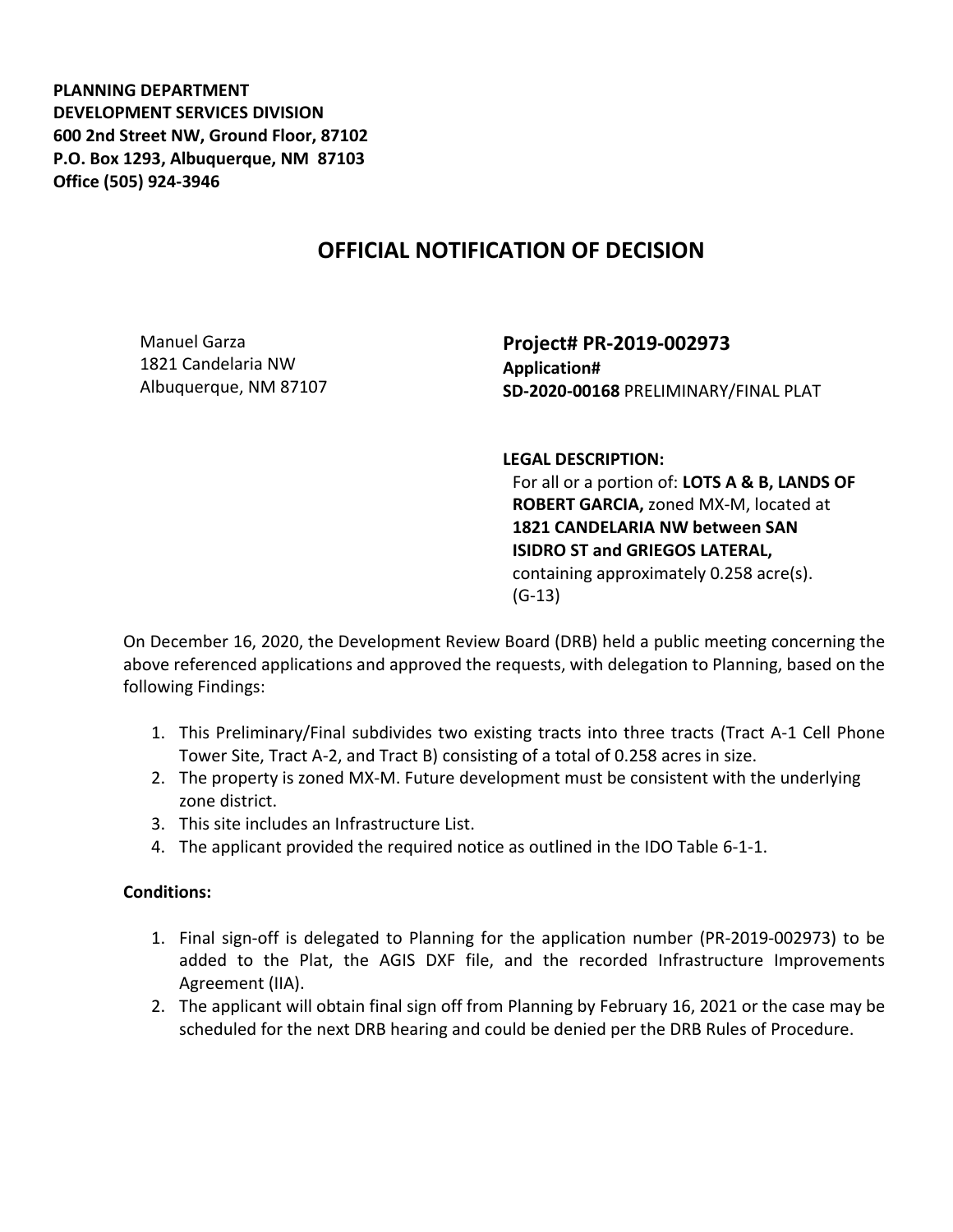**PLANNING DEPARTMENT DEVELOPMENT SERVICES DIVISION 600 2nd Street NW, Ground Floor, 87102 P.O. Box 1293, Albuquerque, NM 87103 Office (505) 924-3946** 

## **OFFICIAL NOTIFICATION OF DECISION**

Manuel Garza 1821 Candelaria NW Albuquerque, NM 87107 **Project# PR-2019-002973 Application# SD-2020-00168** PRELIMINARY/FINAL PLAT

**LEGAL DESCRIPTION:**

For all or a portion of: **LOTS A & B, LANDS OF ROBERT GARCIA,** zoned MX-M, located at **1821 CANDELARIA NW between SAN ISIDRO ST and GRIEGOS LATERAL,**  containing approximately 0.258 acre(s). (G-13)

On December 16, 2020, the Development Review Board (DRB) held a public meeting concerning the above referenced applications and approved the requests, with delegation to Planning, based on the following Findings:

- 1. This Preliminary/Final subdivides two existing tracts into three tracts (Tract A-1 Cell Phone Tower Site, Tract A-2, and Tract B) consisting of a total of 0.258 acres in size.
- 2. The property is zoned MX-M. Future development must be consistent with the underlying zone district.
- 3. This site includes an Infrastructure List.
- 4. The applicant provided the required notice as outlined in the IDO Table 6-1-1.

## **Conditions:**

- 1. Final sign-off is delegated to Planning for the application number (PR-2019-002973) to be added to the Plat, the AGIS DXF file, and the recorded Infrastructure Improvements Agreement (IIA).
- 2. The applicant will obtain final sign off from Planning by February 16, 2021 or the case may be scheduled for the next DRB hearing and could be denied per the DRB Rules of Procedure.